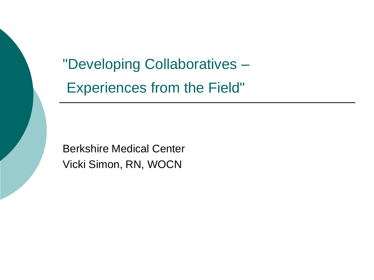"Developing Collaboratives – Experiences from the Field"

Berkshire Medical Center Vicki Simon, RN, WOCN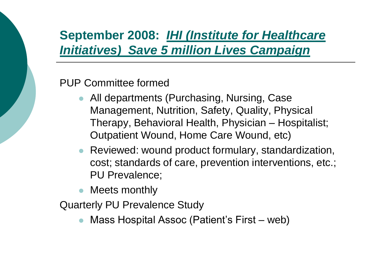# **September 2008:** *IHI (Institute for Healthcare Initiatives) Save 5 million Lives Campaign*

#### PUP Committee formed

- All departments (Purchasing, Nursing, Case Management, Nutrition, Safety, Quality, Physical Therapy, Behavioral Health, Physician – Hospitalist; Outpatient Wound, Home Care Wound, etc)
- Reviewed: wound product formulary, standardization, cost; standards of care, prevention interventions, etc.; PU Prevalence;
- Meets monthly

Quarterly PU Prevalence Study

Mass Hospital Assoc (Patient's First – web)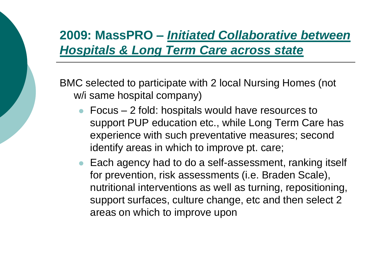# **2009: MassPRO –** *Initiated Collaborative between Hospitals & Long Term Care across state*

BMC selected to participate with 2 local Nursing Homes (not w/i same hospital company)

- Focus 2 fold: hospitals would have resources to support PUP education etc., while Long Term Care has experience with such preventative measures; second identify areas in which to improve pt. care;
- Each agency had to do a self-assessment, ranking itself for prevention, risk assessments (i.e. Braden Scale), nutritional interventions as well as turning, repositioning, support surfaces, culture change, etc and then select 2 areas on which to improve upon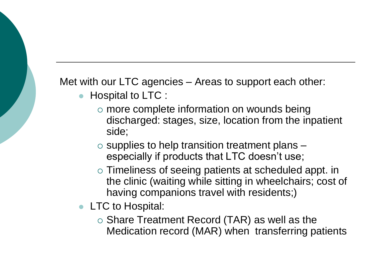Met with our LTC agencies – Areas to support each other:

- Hospital to LTC :
	- $\circ$  more complete information on wounds being discharged: stages, size, location from the inpatient side;
	- $\circ$  supplies to help transition treatment plans  $$ especially if products that LTC doesn't use;
	- Timeliness of seeing patients at scheduled appt. in the clinic (waiting while sitting in wheelchairs; cost of having companions travel with residents;)
- **LTC** to Hospital:
	- $\circ$  Share Treatment Record (TAR) as well as the Medication record (MAR) when transferring patients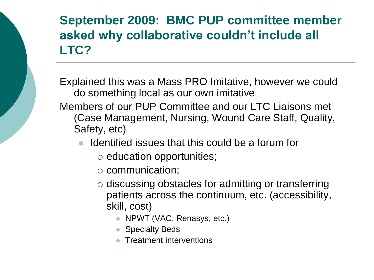## **September 2009: BMC PUP committee member asked why collaborative couldn't include all LTC?**

Explained this was a Mass PRO Imitative, however we could do something local as our own imitative

Members of our PUP Committee and our LTC Liaisons met (Case Management, Nursing, Wound Care Staff, Quality, Safety, etc)

- Identified issues that this could be a forum for
	- $\circ$  education opportunities;
	- communication;
	- $\circ$  discussing obstacles for admitting or transferring patients across the continuum, etc. (accessibility, skill, cost)
		- NPWT (VAC, Renasys, etc.)
		- Specialty Beds
		- **Treatment interventions**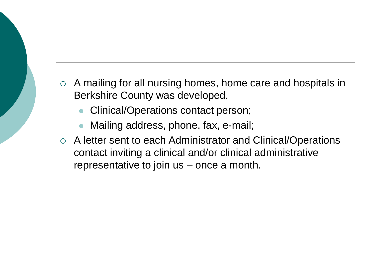- $\circ$  A mailing for all nursing homes, home care and hospitals in Berkshire County was developed.
	- Clinical/Operations contact person;
	- Mailing address, phone, fax, e-mail;
- A letter sent to each Administrator and Clinical/Operations contact inviting a clinical and/or clinical administrative representative to join us – once a month.